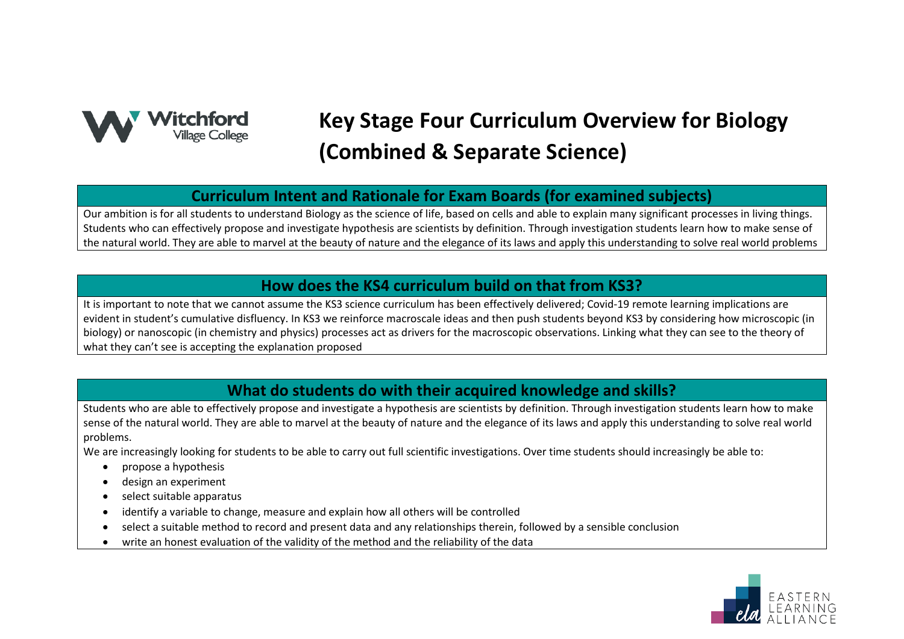

# **Key Stage Four Curriculum Overview for Biology (Combined & Separate Science)**

#### **Curriculum Intent and Rationale for Exam Boards (for examined subjects)**

Our ambition is for all students to understand Biology as the science of life, based on cells and able to explain many significant processes in living things. Students who can effectively propose and investigate hypothesis are scientists by definition. Through investigation students learn how to make sense of the natural world. They are able to marvel at the beauty of nature and the elegance of its laws and apply this understanding to solve real world problems

## **How does the KS4 curriculum build on that from KS3?**

It is important to note that we cannot assume the KS3 science curriculum has been effectively delivered; Covid-19 remote learning implications are evident in student's cumulative disfluency. In KS3 we reinforce macroscale ideas and then push students beyond KS3 by considering how microscopic (in biology) or nanoscopic (in chemistry and physics) processes act as drivers for the macroscopic observations. Linking what they can see to the theory of what they can't see is accepting the explanation proposed

## **What do students do with their acquired knowledge and skills?**

Students who are able to effectively propose and investigate a hypothesis are scientists by definition. Through investigation students learn how to make sense of the natural world. They are able to marvel at the beauty of nature and the elegance of its laws and apply this understanding to solve real world problems.

We are increasingly looking for students to be able to carry out full scientific investigations. Over time students should increasingly be able to:

- propose a hypothesis
- design an experiment
- select suitable apparatus
- identify a variable to change, measure and explain how all others will be controlled
- select a suitable method to record and present data and any relationships therein, followed by a sensible conclusion
- write an honest evaluation of the validity of the method and the reliability of the data

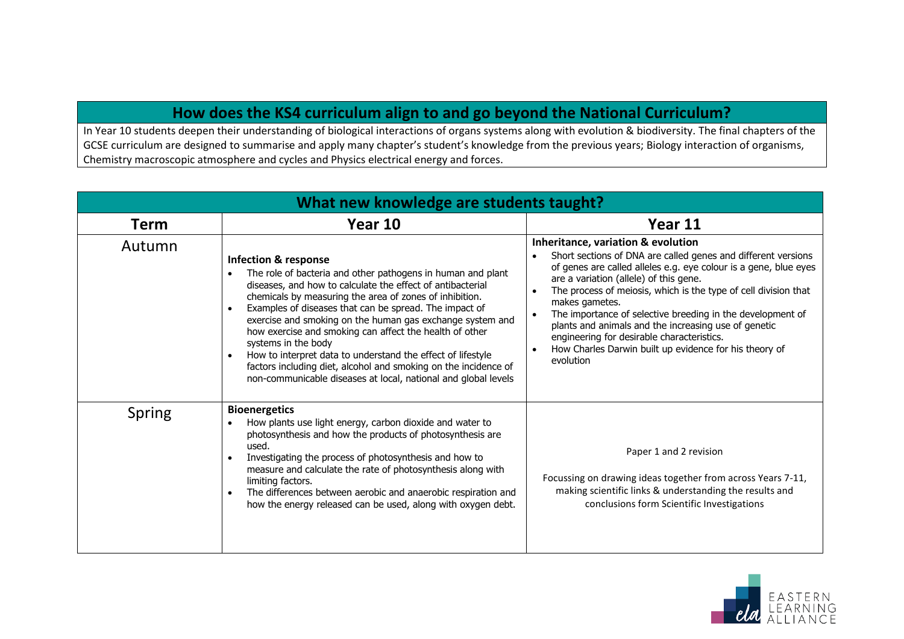## **How does the KS4 curriculum align to and go beyond the National Curriculum?**

In Year 10 students deepen their understanding of biological interactions of organs systems along with evolution & biodiversity. The final chapters of the GCSE curriculum are designed to summarise and apply many chapter's student's knowledge from the previous years; Biology interaction of organisms, Chemistry macroscopic atmosphere and cycles and Physics electrical energy and forces.

| What new knowledge are students taught? |                                                                                                                                                                                                                                                                                                                                                                                                                                                                                                                                                                                                                                      |                                                                                                                                                                                                                                                                                                                                                                                                                                                                                                                                                                                                       |  |
|-----------------------------------------|--------------------------------------------------------------------------------------------------------------------------------------------------------------------------------------------------------------------------------------------------------------------------------------------------------------------------------------------------------------------------------------------------------------------------------------------------------------------------------------------------------------------------------------------------------------------------------------------------------------------------------------|-------------------------------------------------------------------------------------------------------------------------------------------------------------------------------------------------------------------------------------------------------------------------------------------------------------------------------------------------------------------------------------------------------------------------------------------------------------------------------------------------------------------------------------------------------------------------------------------------------|--|
| <b>Term</b>                             | Year 10                                                                                                                                                                                                                                                                                                                                                                                                                                                                                                                                                                                                                              | Year 11                                                                                                                                                                                                                                                                                                                                                                                                                                                                                                                                                                                               |  |
| Autumn                                  | <b>Infection &amp; response</b><br>The role of bacteria and other pathogens in human and plant<br>diseases, and how to calculate the effect of antibacterial<br>chemicals by measuring the area of zones of inhibition.<br>Examples of diseases that can be spread. The impact of<br>exercise and smoking on the human gas exchange system and<br>how exercise and smoking can affect the health of other<br>systems in the body<br>How to interpret data to understand the effect of lifestyle<br>factors including diet, alcohol and smoking on the incidence of<br>non-communicable diseases at local, national and global levels | Inheritance, variation & evolution<br>Short sections of DNA are called genes and different versions<br>$\bullet$<br>of genes are called alleles e.g. eye colour is a gene, blue eyes<br>are a variation (allele) of this gene.<br>The process of meiosis, which is the type of cell division that<br>$\bullet$<br>makes gametes.<br>The importance of selective breeding in the development of<br>$\bullet$<br>plants and animals and the increasing use of genetic<br>engineering for desirable characteristics.<br>How Charles Darwin built up evidence for his theory of<br>$\bullet$<br>evolution |  |
| Spring                                  | <b>Bioenergetics</b><br>How plants use light energy, carbon dioxide and water to<br>photosynthesis and how the products of photosynthesis are<br>used.<br>Investigating the process of photosynthesis and how to<br>measure and calculate the rate of photosynthesis along with<br>limiting factors.<br>The differences between aerobic and anaerobic respiration and<br>how the energy released can be used, along with oxygen debt.                                                                                                                                                                                                | Paper 1 and 2 revision<br>Focussing on drawing ideas together from across Years 7-11,<br>making scientific links & understanding the results and<br>conclusions form Scientific Investigations                                                                                                                                                                                                                                                                                                                                                                                                        |  |